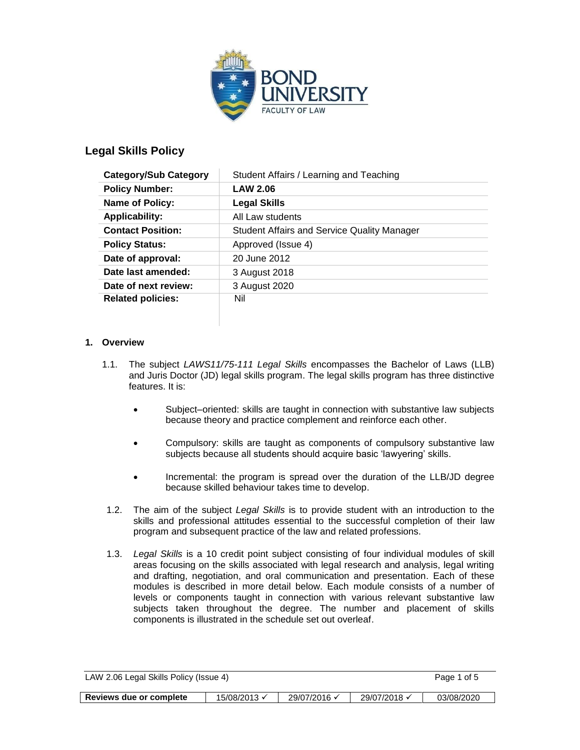

# **Legal Skills Policy**

| <b>Category/Sub Category</b> | Student Affairs / Learning and Teaching            |  |  |
|------------------------------|----------------------------------------------------|--|--|
| <b>Policy Number:</b>        | <b>LAW 2.06</b>                                    |  |  |
| <b>Name of Policy:</b>       | <b>Legal Skills</b>                                |  |  |
| <b>Applicability:</b>        | All Law students                                   |  |  |
| <b>Contact Position:</b>     | <b>Student Affairs and Service Quality Manager</b> |  |  |
| <b>Policy Status:</b>        | Approved (Issue 4)                                 |  |  |
| Date of approval:            | 20 June 2012                                       |  |  |
| Date last amended:           | 3 August 2018                                      |  |  |
| Date of next review:         | 3 August 2020                                      |  |  |
| <b>Related policies:</b>     | Nil                                                |  |  |

### **1. Overview**

- 1.1. The subject *LAWS11/75-111 Legal Skills* encompasses the Bachelor of Laws (LLB) and Juris Doctor (JD) legal skills program. The legal skills program has three distinctive features. It is:
	- Subject–oriented: skills are taught in connection with substantive law subjects because theory and practice complement and reinforce each other.
	- Compulsory: skills are taught as components of compulsory substantive law subjects because all students should acquire basic 'lawyering' skills.
	- Incremental: the program is spread over the duration of the LLB/JD degree because skilled behaviour takes time to develop.
- 1.2. The aim of the subject *Legal Skills* is to provide student with an introduction to the skills and professional attitudes essential to the successful completion of their law program and subsequent practice of the law and related professions.
- 1.3. *Legal Skills* is a 10 credit point subject consisting of four individual modules of skill areas focusing on the skills associated with legal research and analysis, legal writing and drafting, negotiation, and oral communication and presentation. Each of these modules is described in more detail below. Each module consists of a number of levels or components taught in connection with various relevant substantive law subjects taken throughout the degree. The number and placement of skills components is illustrated in the schedule set out overleaf.

| LAW 2.06 Legal Skills Policy (Issue 4) |              |              |              | Page 1 of 5 |
|----------------------------------------|--------------|--------------|--------------|-------------|
|                                        |              |              |              |             |
| Reviews due or complete                | 15/08/2013 √ | 29/07/2016 √ | 29/07/2018 √ | 03/08/2020  |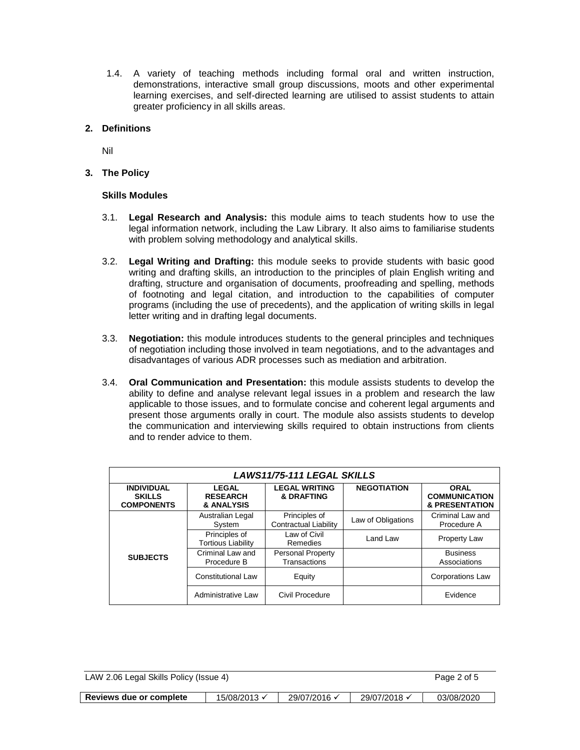1.4. A variety of teaching methods including formal oral and written instruction, demonstrations, interactive small group discussions, moots and other experimental learning exercises, and self-directed learning are utilised to assist students to attain greater proficiency in all skills areas.

### **2. Definitions**

Nil

**3. The Policy**

### **Skills Modules**

- 3.1. **Legal Research and Analysis:** this module aims to teach students how to use the legal information network, including the Law Library. It also aims to familiarise students with problem solving methodology and analytical skills.
- 3.2. **Legal Writing and Drafting:** this module seeks to provide students with basic good writing and drafting skills, an introduction to the principles of plain English writing and drafting, structure and organisation of documents, proofreading and spelling, methods of footnoting and legal citation, and introduction to the capabilities of computer programs (including the use of precedents), and the application of writing skills in legal letter writing and in drafting legal documents.
- 3.3. **Negotiation:** this module introduces students to the general principles and techniques of negotiation including those involved in team negotiations, and to the advantages and disadvantages of various ADR processes such as mediation and arbitration.
- 3.4. **Oral Communication and Presentation:** this module assists students to develop the ability to define and analyse relevant legal issues in a problem and research the law applicable to those issues, and to formulate concise and coherent legal arguments and present those arguments orally in court. The module also assists students to develop the communication and interviewing skills required to obtain instructions from clients and to render advice to them.

| <b>LAWS11/75-111 LEGAL SKILLS</b>                       |                                               |                                               |                    |                                                                  |  |  |
|---------------------------------------------------------|-----------------------------------------------|-----------------------------------------------|--------------------|------------------------------------------------------------------|--|--|
| <b>INDIVIDUAL</b><br><b>SKILLS</b><br><b>COMPONENTS</b> | <b>LEGAL</b><br><b>RESEARCH</b><br>& ANALYSIS | <b>LEGAL WRITING</b><br><b>&amp; DRAFTING</b> | <b>NEGOTIATION</b> | <b>ORAL</b><br><b>COMMUNICATION</b><br><b>&amp; PRESENTATION</b> |  |  |
|                                                         | Australian Legal<br>System                    | Principles of<br><b>Contractual Liability</b> | Law of Obligations | Criminal Law and<br>Procedure A                                  |  |  |
| <b>SUBJECTS</b>                                         | Principles of<br><b>Tortious Liability</b>    | Law of Civil<br>Remedies                      | Land Law           | Property Law                                                     |  |  |
|                                                         | Criminal Law and<br>Procedure B               | Personal Property<br>Transactions             |                    | <b>Business</b><br>Associations                                  |  |  |
|                                                         | <b>Constitutional Law</b>                     | Equity                                        |                    | <b>Corporations Law</b>                                          |  |  |
|                                                         | Administrative Law                            | Civil Procedure                               |                    | Evidence                                                         |  |  |

| LAW 2.06 Legal Skills Policy (Issue 4) |  |  | Page 2 of 5 |
|----------------------------------------|--|--|-------------|
|                                        |  |  |             |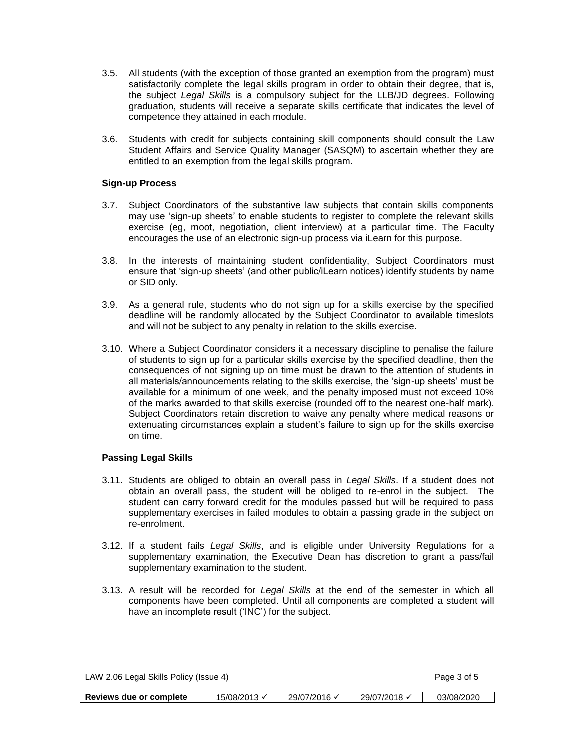- 3.5. All students (with the exception of those granted an exemption from the program) must satisfactorily complete the legal skills program in order to obtain their degree, that is, the subject *Legal Skills* is a compulsory subject for the LLB/JD degrees. Following graduation, students will receive a separate skills certificate that indicates the level of competence they attained in each module.
- 3.6. Students with credit for subjects containing skill components should consult the Law Student Affairs and Service Quality Manager (SASQM) to ascertain whether they are entitled to an exemption from the legal skills program.

#### **Sign-up Process**

- 3.7. Subject Coordinators of the substantive law subjects that contain skills components may use 'sign-up sheets' to enable students to register to complete the relevant skills exercise (eg, moot, negotiation, client interview) at a particular time. The Faculty encourages the use of an electronic sign-up process via iLearn for this purpose.
- 3.8. In the interests of maintaining student confidentiality, Subject Coordinators must ensure that 'sign-up sheets' (and other public/iLearn notices) identify students by name or SID only.
- 3.9. As a general rule, students who do not sign up for a skills exercise by the specified deadline will be randomly allocated by the Subject Coordinator to available timeslots and will not be subject to any penalty in relation to the skills exercise.
- 3.10. Where a Subject Coordinator considers it a necessary discipline to penalise the failure of students to sign up for a particular skills exercise by the specified deadline, then the consequences of not signing up on time must be drawn to the attention of students in all materials/announcements relating to the skills exercise, the 'sign-up sheets' must be available for a minimum of one week, and the penalty imposed must not exceed 10% of the marks awarded to that skills exercise (rounded off to the nearest one-half mark). Subject Coordinators retain discretion to waive any penalty where medical reasons or extenuating circumstances explain a student's failure to sign up for the skills exercise on time.

### **Passing Legal Skills**

- 3.11. Students are obliged to obtain an overall pass in *Legal Skills*. If a student does not obtain an overall pass, the student will be obliged to re-enrol in the subject. The student can carry forward credit for the modules passed but will be required to pass supplementary exercises in failed modules to obtain a passing grade in the subject on re-enrolment.
- 3.12. If a student fails *Legal Skills*, and is eligible under University Regulations for a supplementary examination, the Executive Dean has discretion to grant a pass/fail supplementary examination to the student.
- 3.13. A result will be recorded for *Legal Skills* at the end of the semester in which all components have been completed. Until all components are completed a student will have an incomplete result ('INC') for the subject.

| LAW 2.06 Legal Skills Policy (Issue 4) |              |              |              | Page 3 of 5 |
|----------------------------------------|--------------|--------------|--------------|-------------|
|                                        |              |              |              |             |
| Reviews due or complete                | 15/08/2013 √ | 29/07/2016 √ | 29/07/2018 √ | 03/08/2020  |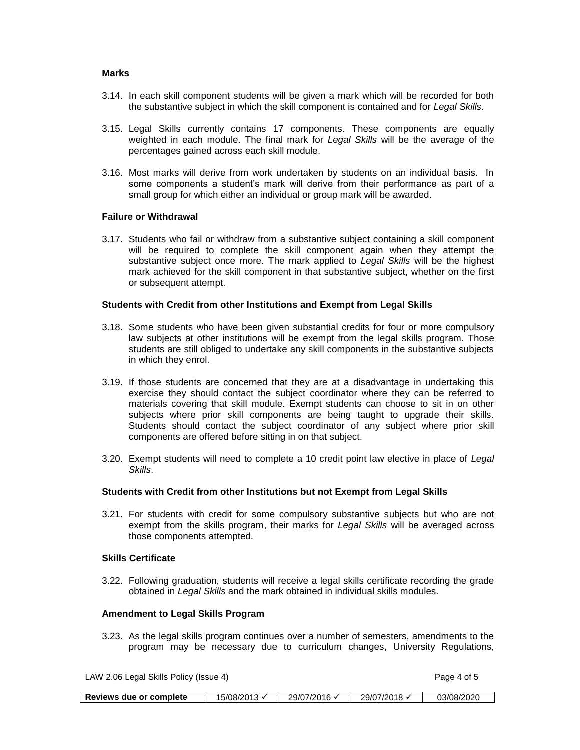#### **Marks**

- 3.14. In each skill component students will be given a mark which will be recorded for both the substantive subject in which the skill component is contained and for *Legal Skills*.
- 3.15. Legal Skills currently contains 17 components. These components are equally weighted in each module. The final mark for *Legal Skills* will be the average of the percentages gained across each skill module.
- 3.16. Most marks will derive from work undertaken by students on an individual basis. In some components a student's mark will derive from their performance as part of a small group for which either an individual or group mark will be awarded.

#### **Failure or Withdrawal**

3.17. Students who fail or withdraw from a substantive subject containing a skill component will be required to complete the skill component again when they attempt the substantive subject once more. The mark applied to *Legal Skills* will be the highest mark achieved for the skill component in that substantive subject, whether on the first or subsequent attempt.

#### **Students with Credit from other Institutions and Exempt from Legal Skills**

- 3.18. Some students who have been given substantial credits for four or more compulsory law subjects at other institutions will be exempt from the legal skills program. Those students are still obliged to undertake any skill components in the substantive subjects in which they enrol.
- 3.19. If those students are concerned that they are at a disadvantage in undertaking this exercise they should contact the subject coordinator where they can be referred to materials covering that skill module. Exempt students can choose to sit in on other subjects where prior skill components are being taught to upgrade their skills. Students should contact the subject coordinator of any subject where prior skill components are offered before sitting in on that subject.
- 3.20. Exempt students will need to complete a 10 credit point law elective in place of *Legal Skills*.

#### **Students with Credit from other Institutions but not Exempt from Legal Skills**

3.21. For students with credit for some compulsory substantive subjects but who are not exempt from the skills program, their marks for *Legal Skills* will be averaged across those components attempted.

#### **Skills Certificate**

3.22. Following graduation, students will receive a legal skills certificate recording the grade obtained in *Legal Skills* and the mark obtained in individual skills modules.

#### **Amendment to Legal Skills Program**

3.23. As the legal skills program continues over a number of semesters, amendments to the program may be necessary due to curriculum changes, University Regulations,

| LAW 2.06 Legal Skills Policy (Issue 4) |              |              |              | Page 4 of 5 |
|----------------------------------------|--------------|--------------|--------------|-------------|
| Reviews due or complete                | 15/08/2013 √ | 29/07/2016 √ | 29/07/2018 √ | 03/08/2020  |

| Reviews due or complete | 15/08/2013 $\times$ | 29/07/2016 | · 29/07/2018 | 03/08/2020 |
|-------------------------|---------------------|------------|--------------|------------|
|-------------------------|---------------------|------------|--------------|------------|